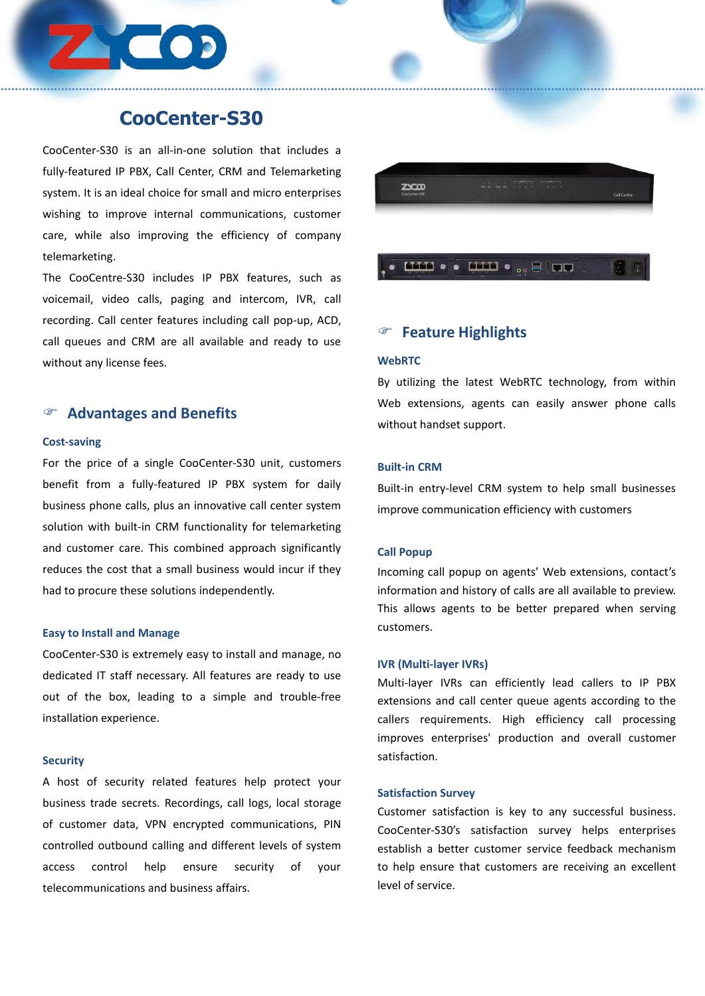# **CooCenter-S30**

CooCenter-S30 is an all-in-one solution that includes a fully-featured IP PBX, Call Center, CRM and Telemarketing system. It is an ideal choice for small and micro enterprises wishing to improve internal communications, customer care, while also improving the efficiency of company telemarketing.

The CooCentre-S30 includes IP PBX features, such as voicemail, video calls, paging and intercom, IVR, call recording. Call center features including call pop-up, ACD, call queues and CRM are all available and ready to use without any license fees.

### **Advantages and Benefits**

#### **Cost-saving**

For the price of a single CooCenter-S30 unit, customers benefit from a fully-featured IP PBX system for daily business phone calls, plus an innovative call center system solution with built-in CRM functionality for telemarketing and customer care. This combined approach significantly reduces the cost that a small business would incur if they had to procure these solutions independently.

#### **Easy to Install and Manage**

CooCenter-S30 is extremely easy to install and manage, no dedicated IT staff necessary. All features are ready to use out of the box, leading to a simple and trouble-free installation experience.

#### **Security**

A host of security related features help protect your business trade secrets. Recordings, call logs, local storage of customer data, VPN encrypted communications, PIN controlled outbound calling and different levels of system telecommunications and business affairs.



### **Feature Highlights**

#### **WebRTC**

By utilizing the latest WebRTC technology, from within Web extensions, agents can easily answer phone calls without handset support.

#### **Built-in CRM**

Built-in entry-level CRM system to help small businesses improve communication efficiency with customers

#### **Call Popup**

Incoming call popup on agents' Web extensions, contact's information and history of calls are all available to preview. This allows agents to be better prepared when serving customers.

#### **IVR (Multi-layer IVRs)**

Multi-layer IVRs can efficiently lead callers to IP PBX extensions and call center queue agents according to the callers requirements. High efficiency call processing improves enterprises' production and overall customer satisfaction.

#### **Satisfaction Survey**

access control help ensure security of your to helpensurethat customers are receiving an excellent Customer satisfaction is key to any successful business. CooCenter-S30's satisfaction survey helps enterprises establish a better customer service feedback mechanism level of service.